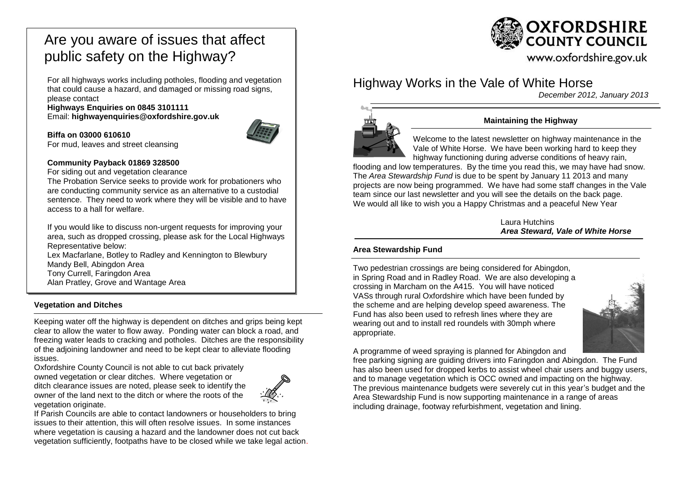# Are you aware of issues that affect public safety on the Highway?

For all highways works including potholes, flooding and vegetation that could cause a hazard, and damaged or missing road signs, please contact

**Highways Enquiries on 0845 3101111** Email: **[highwayenquiries@oxfordshire.gov.uk](mailto:highwayenquiries@oxfordshire.gov.uk)**



**Biffa on 03000 610610** For mud, leaves and street cleansing

### **Community Payback 01869 328500**

For siding out and vegetation clearance

The Probation Service seeks to provide work for probationers who are conducting community service as an alternative to a custodial sentence. They need to work where they will be visible and to have access to a hall for welfare.

If you would like to discuss non-urgent requests for improving your area, such as dropped crossing, please ask for the Local Highways Representative below: Lex Macfarlane, Botley to Radley and Kennington to Blewbury Mandy Bell, Abingdon Area Tony Currell, Faringdon Area Alan Pratley, Grove and Wantage Area

### **Vegetation and Ditches**

Keeping water off the highway is dependent on ditches and grips being kept clear to allow the water to flow away. Ponding water can block a road, and freezing water leads to cracking and potholes. Ditches are the responsibility of the adjoining landowner and need to be kept clear to alleviate flooding issues.

Oxfordshire County Council is not able to cut back privately owned vegetation or clear ditches. Where vegetation or ditch clearance issues are noted, please seek to identify the owner of the land next to the ditch or where the roots of the vegetation originate.



If Parish Councils are able to contact landowners or householders to bring issues to their attention, this will often resolve issues. In some instances where vegetation is causing a hazard and the landowner does not cut back vegetation sufficiently, footpaths have to be closed while we take legal action.



www.oxfordshire.gov.uk

## Highway Works in the Vale of White Horse

*December 2012, January 2013*



## **Maintaining the Highway**

Welcome to the latest newsletter on highway maintenance in the Vale of White Horse. We have been working hard to keep they highway functioning during adverse conditions of heavy rain,

flooding and low temperatures. By the time you read this, we may have had snow. The *Area Stewardship Fund* is due to be spent by January 11 2013 and many projects are now being programmed. We have had some staff changes in the Vale team since our last newsletter and you will see the details on the back page. We would all like to wish you a Happy Christmas and a peaceful New Year

> Laura Hutchins *Area Steward, Vale of White Horse*

### **Area Stewardship Fund**

Two pedestrian crossings are being considered for Abingdon, in Spring Road and in Radley Road. We are also developing a crossing in Marcham on the A415. You will have noticed VASs through rural Oxfordshire which have been funded by the scheme and are helping develop speed awareness. The Fund has also been used to refresh lines where they are wearing out and to install red roundels with 30mph where appropriate.



A programme of weed spraying is planned for Abingdon and

free parking signing are guiding drivers into Faringdon and Abingdon. The Fund has also been used for dropped kerbs to assist wheel chair users and buggy users, and to manage vegetation which is OCC owned and impacting on the highway. The previous maintenance budgets were severely cut in this year's budget and the Area Stewardship Fund is now supporting maintenance in a range of areas including drainage, footway refurbishment, vegetation and lining.